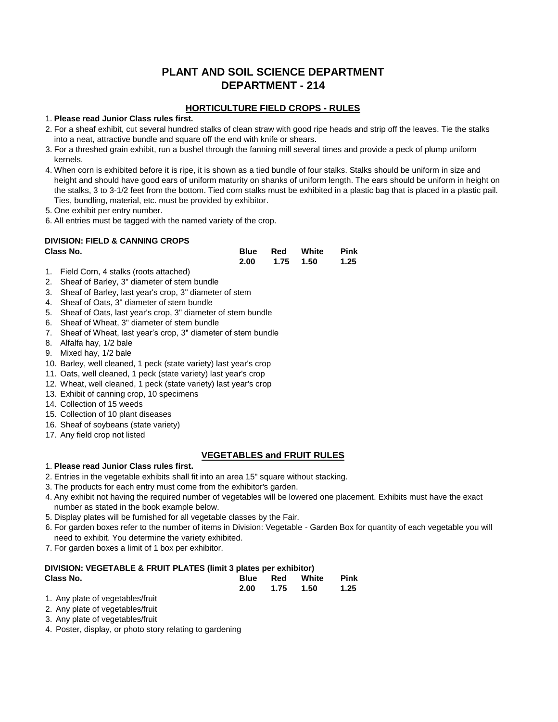# **PLANT AND SOIL SCIENCE DEPARTMENT DEPARTMENT - 214**

### **HORTICULTURE FIELD CROPS - RULES**

#### 1. **Please read Junior Class rules first.**

- 2. For a sheaf exhibit, cut several hundred stalks of clean straw with good ripe heads and strip off the leaves. Tie the stalks into a neat, attractive bundle and square off the end with knife or shears.
- 3. For a threshed grain exhibit, run a bushel through the fanning mill several times and provide a peck of plump uniform kernels.
- 4. When corn is exhibited before it is ripe, it is shown as a tied bundle of four stalks. Stalks should be uniform in size and height and should have good ears of uniform maturity on shanks of uniform length. The ears should be uniform in height on the stalks, 3 to 3-1/2 feet from the bottom. Tied corn stalks must be exhibited in a plastic bag that is placed in a plastic pail. Ties, bundling, material, etc. must be provided by exhibitor.

5. One exhibit per entry number.

6. All entries must be tagged with the named variety of the crop.

# **DIVISION: FIELD & CANNING CROPS**

| Class No. |  | <b>Blue Red White Pink</b> |  |
|-----------|--|----------------------------|--|
|           |  | 2.00 1.75 1.50 1.25        |  |

- 1. Field Corn, 4 stalks (roots attached)
- 2. Sheaf of Barley, 3" diameter of stem bundle
- 3. Sheaf of Barley, last year's crop, 3" diameter of stem
- 4. Sheaf of Oats, 3" diameter of stem bundle
- 5. Sheaf of Oats, last year's crop, 3" diameter of stem bundle
- 6. Sheaf of Wheat, 3" diameter of stem bundle
- 7. Sheaf of Wheat, last year's crop, 3" diameter of stem bundle
- 8. Alfalfa hay, 1/2 bale
- 9. Mixed hay, 1/2 bale
- 10. Barley, well cleaned, 1 peck (state variety) last year's crop
- 11. Oats, well cleaned, 1 peck (state variety) last year's crop
- 12. Wheat, well cleaned, 1 peck (state variety) last year's crop
- 13. Exhibit of canning crop, 10 specimens
- 14. Collection of 15 weeds
- 15. Collection of 10 plant diseases
- 16. Sheaf of soybeans (state variety)
- 17. Any field crop not listed

## **VEGETABLES and FRUIT RULES**

### 1. **Please read Junior Class rules first.**

- 2. Entries in the vegetable exhibits shall fit into an area 15" square without stacking.
- 3. The products for each entry must come from the exhibitor's garden.
- 4. Any exhibit not having the required number of vegetables will be lowered one placement. Exhibits must have the exact number as stated in the book example below.
- 5. Display plates will be furnished for all vegetable classes by the Fair.
- 6. For garden boxes refer to the number of items in Division: Vegetable Garden Box for quantity of each vegetable you will need to exhibit. You determine the variety exhibited.
- 7. For garden boxes a limit of 1 box per exhibitor.

#### **DIVISION: VEGETABLE & FRUIT PLATES (limit 3 plates per exhibitor) Class No. Blue Red White Pink**

|        | SS NO. |  |  |  |  | Blue Red White Pink |  |
|--------|--------|--|--|--|--|---------------------|--|
|        |        |  |  |  |  | 2.00 1.75 1.50 1.25 |  |
| $\sim$ |        |  |  |  |  |                     |  |

- 1. Any plate of vegetables/fruit
- 2. Any plate of vegetables/fruit
- 3. Any plate of vegetables/fruit
- 4. Poster, display, or photo story relating to gardening